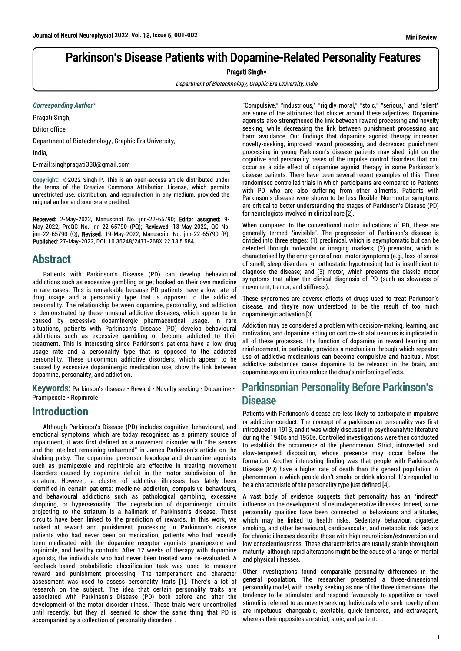# Parkinson's Disease Patients with Dopamine-Related Personality Features

Pragati Singh\*

Department of Biotechnology, Graphic Era University, India

#### *Corresponding Author\**

Pragati Singh,

Editor office

Department of Biotechnology, Graphic Era University,

India,

E-mail:singhpragati330@gmail.com

**Copyright:** ©2022 Singh P. This is an open-access article distributed under the terms of the Creative Commons Attribution License, which permits unrestricted use, distribution, and reproduction in any medium, provided the original author and source are credited.

Received: 2-May-2022, Manuscript No. jnn-22-65790; Editor assigned: 9- May-2022, PreQC No. jnn-22-65790 (PQ); Reviewed: 13-May-2022, QC No. jnn-22-65790 (Q); Revised: 19-May-2022, Manuscript No. jnn-22-65790 (R); Published: 27-May-2022, DOI. 10.35248/2471-268X.22.13.5.584

## Abstract

Patients with Parkinson's Disease (PD) can develop behavioural addictions such as excessive gambling or get hooked on their own medicine in rare cases. This is remarkable because PD patients have a low rate of drug usage and a personality type that is opposed to the addicted personality. The relationship between dopamine, personality, and addiction is demonstrated by these unusual addictive diseases, which appear to be caused by excessive dopaminergic pharmaceutical usage. In rare situations, patients with Parkinson's Disease (PD) develop behavioural addictions such as excessive gambling or become addicted to their treatment. This is interesting since Parkinson's patients have a low drug usage rate and a personality type that is opposed to the addicted personality. These uncommon addictive disorders, which appear to be caused by excessive dopaminergic medication use, show the link between dopamine, personality, and addiction.

Keywords: Parkinson's disease • Reward • Novelty seeking • Dopamine • Pramipexole • Ropinirole

### **Introduction**

Although Parkinson's Disease (PD) includes cognitive, behavioural, and emotional symptoms, which are today recognised as a primary source of impairment, it was first defined as a movement disorder with "the senses and the intellect remaining unharmed" in James Parkinson's article on the shaking palsy. The dopamine precursor levodopa and dopamine agonists such as pramipexole and ropinirole are effective in treating movement disorders caused by dopamine deficit in the motor subdivision of the striatum. However, a cluster of addictive illnesses has lately been identified in certain patients: medicine addiction, compulsive behaviours, and behavioural addictions such as pathological gambling, excessive shopping, or hypersexuality. The degradation of dopaminergic circuits projecting to the striatum is a hallmark of Parkinson's disease. These circuits have been linked to the prediction of rewards. In this work, we looked at reward and punishment processing in Parkinson's disease patients who had never been on medication, patients who had recently been medicated with the dopamine receptor agonists pramipexole and ropinirole, and healthy controls. After 12 weeks of therapy with dopamine agonists, the individuals who had never been treated were re-evaluated. A feedback-based probabilistic classification task was used to measure reward and punishment processing. The temperament and character assessment was used to assess personality traits [1]. There's a lot of research on the subject. The idea that certain personality traits are associated with Parkinson's Disease (PD) both before and after the development of the motor disorder illness.' These trials were uncontrolled until recently, but they all seemed to show the same thing that PD is accompanied by a collection of personality disorders .

"Compulsive," "industrious," "rigidly moral," "stoic," "serious," and "silent" are some of the attributes that cluster around these adjectives. Dopamine agonists also strengthened the link between reward processing and novelty seeking, while decreasing the link between punishment processing and harm avoidance. Our findings that dopamine agonist therapy increased novelty-seeking, improved reward processing, and decreased punishment processing in young Parkinson's disease patients may shed light on the cognitive and personality bases of the impulse control disorders that can occur as a side effect of dopamine agonist therapy in some Parkinson's disease patients. There have been several recent examples of this. Three randomised controlled trials in which participants are compared to Patients with PD who are also suffering from other ailments. Patients with Parkinson's disease were shown to be less flexible. Non-motor symptoms are critical to better understanding the stages of Parkinson's Disease (PD) for neurologists involved in clinical care [2].

When compared to the conventional motor indications of PD, these are generally termed "invisible". The progression of Parkinson's disease is divided into three stages: (1) preclinical, which is asymptomatic but can be detected through molecular or imaging markers; (2) premotor, which is characterised by the emergence of non-motor symptoms (e.g., loss of sense of smell, sleep disorders, or orthostatic hypotension) but is insufficient to diagnose the disease; and (3) motor, which presents the classic motor symptoms that allow the clinical diagnosis of PD (such as slowness of movement, tremor, and stiffness).

These syndromes are adverse effects of drugs used to treat Parkinson's disease, and they're now understood to be the result of too much dopaminergic activation [3].

Addiction may be considered a problem with decision-making, learning, and motivation, and dopamine acting on cortico-striatal neurons is implicated in all of these processes. The function of dopamine in reward learning and reinforcement, in particular, provides a mechanism through which repeated use of addictive medications can become compulsive and habitual. Most addictive substances cause dopamine to be released in the brain, and dopamine system injuries reduce the drug's reinforcing effects.

# Parkinsonian Personality Before Parkinson's **Disease**

Patients with Parkinson's disease are less likely to participate in impulsive or addictive conduct. The concept of a parkinsonian personality was first introduced in 1913, and it was widely discussed in psychoanalytic literature during the 1940s and 1950s. Controlled investigations were then conducted to establish the occurrence of the phenomenon. Strict, introverted, and slow-tempered disposition, whose presence may occur before the formation. Another interesting finding was that people with Parkinson's Disease (PD) have a higher rate of death than the general population. A phenomenon in which people don't smoke or drink alcohol. It's regarded to be a characteristic of the personality type just defined [4].

A vast body of evidence suggests that personality has an "indirect" influence on the development of neurodegenerative illnesses. Indeed, some personality qualities have been connected to behaviours and attitudes, which may be linked to health risks. Sedentary behaviour, cigarette smoking, and other behavioural, cardiovascular, and metabolic risk factors for chronic illnesses describe those with high neuroticism/extraversion and low conscientiousness. These characteristics are usually stable throughout maturity, although rapid alterations might be the cause of a range of mental and physical illnesses.

Other investigations found comparable personality differences in the general population. The researcher presented a three-dimensional personality model, with novelty seeking as one of the three dimensions. The tendency to be stimulated and respond favourably to appetitive or novel stimuli is referred to as novelty seeking. Individuals who seek novelty often are impetuous, changeable, excitable, quick-tempered, and extravagant, whereas their opposites are strict, stoic, and patient.